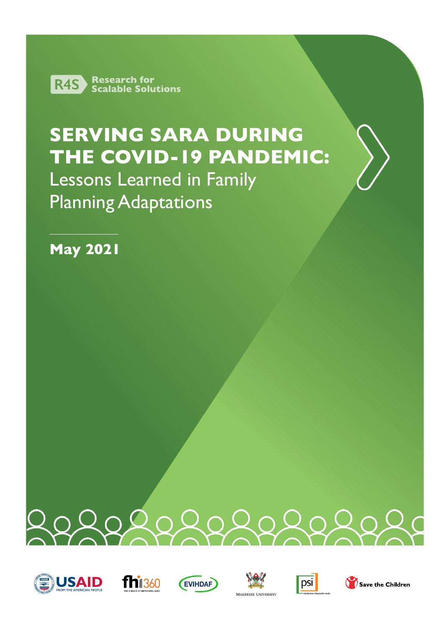

# **SERVING SARA DURING THE COVID-19 PANDEMIC:**

Lessons Learned in Family Planning Adaptations

**May 2021**















Save the Children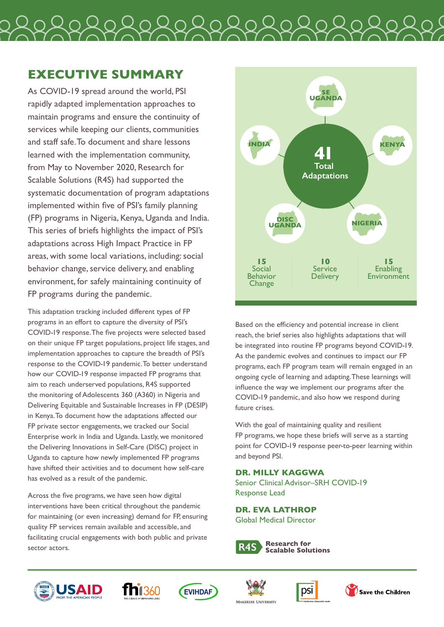

# **EXECUTIVE SUMMARY**

As COVID-19 spread around the world, PSI rapidly adapted implementation approaches to maintain programs and ensure the continuity of services while keeping our clients, communities and staff safe. To document and share lessons learned with the implementation community, from May to November 2020, Research for Scalable Solutions (R4S) had supported the systematic documentation of program adaptations implemented within five of PSI's family planning (FP) programs in Nigeria, Kenya, Uganda and India. This series of briefs highlights the impact of PSI's adaptations across High Impact Practice in FP areas, with some local variations, including: social behavior change, service delivery, and enabling environment, for safely maintaining continuity of FP programs during the pandemic.

This adaptation tracking included different types of FP programs in an effort to capture the diversity of PSI's COVID-19 response. The five projects were selected based on their unique FP target populations, project life stages, and implementation approaches to capture the breadth of PSI's response to the COVID-19 pandemic. To better understand how our COVID-19 response impacted FP programs that aim to reach underserved populations, R4S supported the monitoring of Adolescents 360 (A360) in Nigeria and Delivering Equitable and Sustainable Increases in FP (DESIP) in Kenya. To document how the adaptations affected our FP private sector engagements, we tracked our Social Enterprise work in India and Uganda. Lastly, we monitored the Delivering Innovations in Self-Care (DISC) project in Uganda to capture how newly implemented FP programs have shifted their activities and to document how self-care has evolved as a result of the pandemic.

Across the five programs, we have seen how digital interventions have been critical throughout the pandemic for maintaining (or even increasing) demand for FP, ensuring quality FP services remain available and accessible, and facilitating crucial engagements with both public and private sector actors.



Based on the efficiency and potential increase in client reach, the brief series also highlights adaptations that will be integrated into routine FP programs beyond COVID-19. As the pandemic evolves and continues to impact our FP programs, each FP program team will remain engaged in an ongoing cycle of learning and adapting. These learnings will influence the way we implement our programs after the COVID-19 pandemic, and also how we respond during future crises.

With the goal of maintaining quality and resilient FP programs, we hope these briefs will serve as a starting point for COVID-19 response peer-to-peer learning within and beyond PSI.

# **DR. MILLY KAGGWA**

Senior Clinical Advisor–SRH COVID-19 Response Lead

**DR. EVA LATHROP** Global Medical Director













 $\Omega$  Save the Children

MAKERERE UNIVERSIT